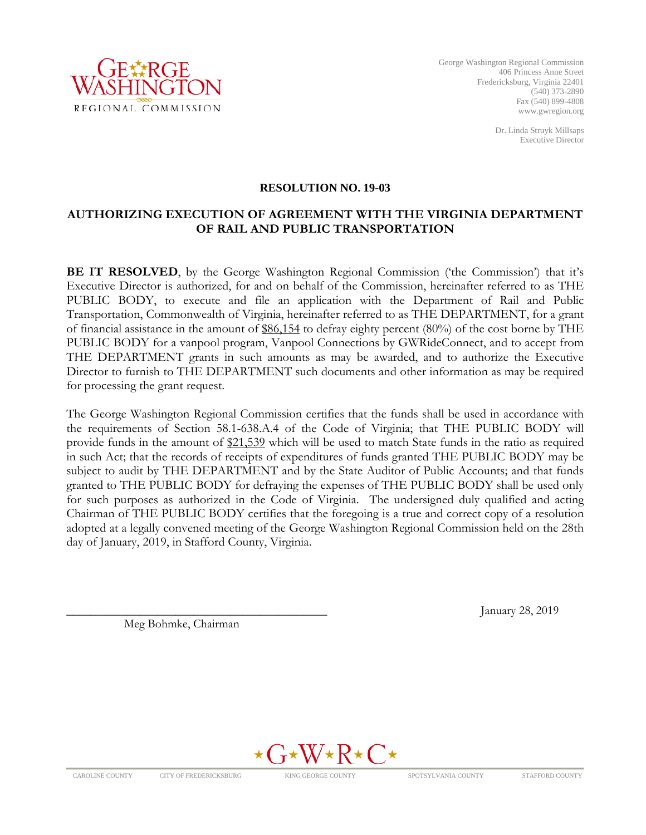

George Washington Regional Commission 406 Princess Anne Street Fredericksburg, Virginia 22401 (540) 373-2890 Fax (540) 899-4808 www.gwregion.org

> Dr. Linda Struyk Millsaps Executive Director

#### **RESOLUTION NO. 19-03**

#### **AUTHORIZING EXECUTION OF AGREEMENT WITH THE VIRGINIA DEPARTMENT OF RAIL AND PUBLIC TRANSPORTATION**

**BE IT RESOLVED**, by the George Washington Regional Commission ('the Commission') that it's Executive Director is authorized, for and on behalf of the Commission, hereinafter referred to as THE PUBLIC BODY, to execute and file an application with the Department of Rail and Public Transportation, Commonwealth of Virginia, hereinafter referred to as THE DEPARTMENT, for a grant of financial assistance in the amount of  $$86,154$  to defray eighty percent (80%) of the cost borne by THE PUBLIC BODY for a vanpool program, Vanpool Connections by GWRideConnect, and to accept from THE DEPARTMENT grants in such amounts as may be awarded, and to authorize the Executive Director to furnish to THE DEPARTMENT such documents and other information as may be required for processing the grant request.

The George Washington Regional Commission certifies that the funds shall be used in accordance with the requirements of Section 58.1-638.A.4 of the Code of Virginia; that THE PUBLIC BODY will provide funds in the amount of \$21,539 which will be used to match State funds in the ratio as required in such Act; that the records of receipts of expenditures of funds granted THE PUBLIC BODY may be subject to audit by THE DEPARTMENT and by the State Auditor of Public Accounts; and that funds granted to THE PUBLIC BODY for defraying the expenses of THE PUBLIC BODY shall be used only for such purposes as authorized in the Code of Virginia. The undersigned duly qualified and acting Chairman of THE PUBLIC BODY certifies that the foregoing is a true and correct copy of a resolution adopted at a legally convened meeting of the George Washington Regional Commission held on the 28th day of January, 2019, in Stafford County, Virginia.

Meg Bohmke, Chairman

January 28, 2019

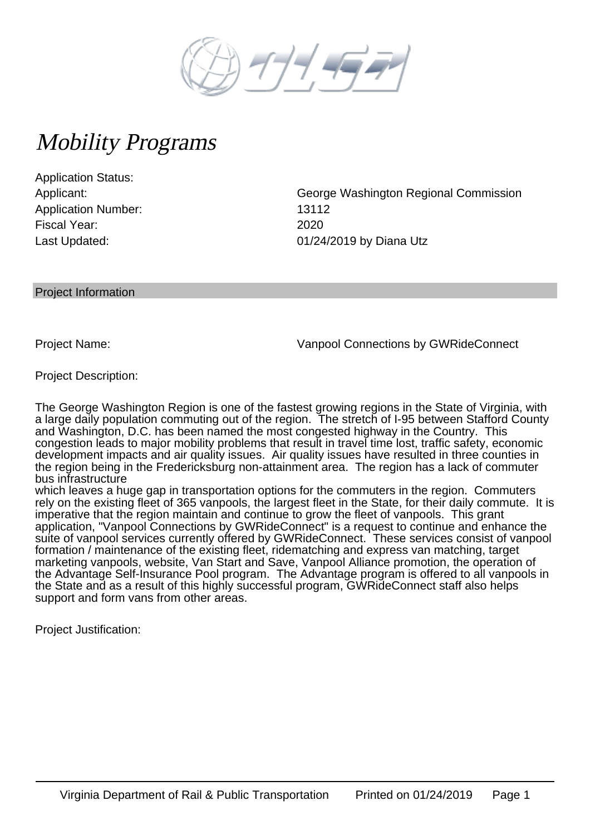Application Status: Application Number: 13112 Fiscal Year: 2020

Applicant: George Washington Regional Commission Last Updated: 01/24/2019 by Diana Utz

Project Information

Project Name: Vanpool Connections by GWRideConnect

Project Description:

The George Washington Region is one of the fastest growing regions in the State of Virginia, with a large daily population commuting out of the region. The stretch of I-95 between Stafford County and Washington, D.C. has been named the most congested highway in the Country. This congestion leads to major mobility problems that result in travel time lost, traffic safety, economic development impacts and air quality issues. Air quality issues have resulted in three counties in the region being in the Fredericksburg non-attainment area. The region has a lack of commuter bus infrastructure

which leaves a huge gap in transportation options for the commuters in the region. Commuters rely on the existing fleet of 365 vanpools, the largest fleet in the State, for their daily commute. It is imperative that the region maintain and continue to grow the fleet of vanpools. This grant application, "Vanpool Connections by GWRideConnect" is a request to continue and enhance the suite of vanpool services currently offered by GWRideConnect. These services consist of vanpool formation / maintenance of the existing fleet, ridematching and express van matching, target marketing vanpools, website, Van Start and Save, Vanpool Alliance promotion, the operation of the Advantage Self-Insurance Pool program. The Advantage program is offered to all vanpools in the State and as a result of this highly successful program, GWRideConnect staff also helps support and form vans from other areas.

Project Justification: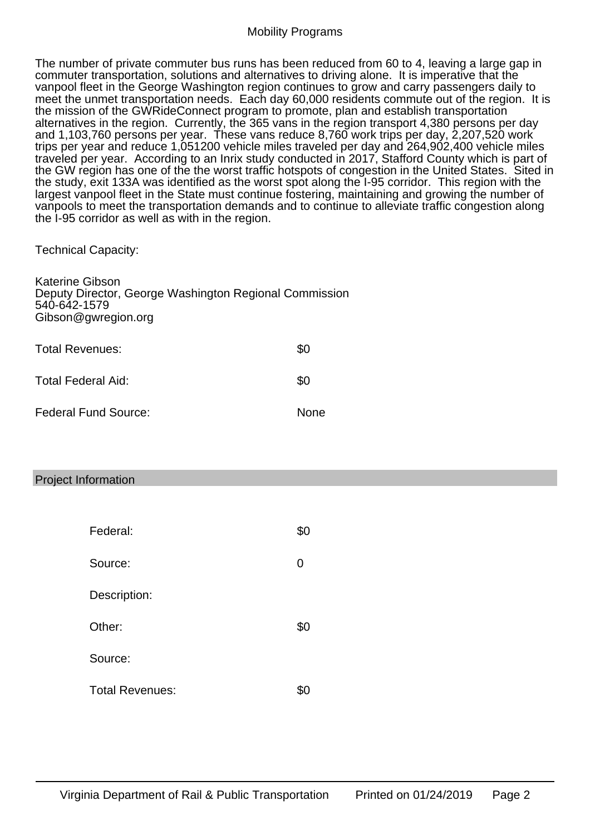The number of private commuter bus runs has been reduced from 60 to 4, leaving a large gap in commuter transportation, solutions and alternatives to driving alone. It is imperative that the vanpool fleet in the George Washington region continues to grow and carry passengers daily to meet the unmet transportation needs. Each day 60,000 residents commute out of the region. It is the mission of the GWRideConnect program to promote, plan and establish transportation alternatives in the region. Currently, the 365 vans in the region transport 4,380 persons per day and 1,103,760 persons per year. These vans reduce 8,760 work trips per day, 2,207,520 work trips per year and reduce 1,051200 vehicle miles traveled per day and 264,902,400 vehicle miles traveled per year. According to an Inrix study conducted in 2017, Stafford County which is part of the GW region has one of the the worst traffic hotspots of congestion in the United States. Sited in the study, exit 133A was identified as the worst spot along the I-95 corridor. This region with the largest vanpool fleet in the State must continue fostering, maintaining and growing the number of vanpools to meet the transportation demands and to continue to alleviate traffic congestion along the I-95 corridor as well as with in the region.

Technical Capacity:

| <b>Katerine Gibson</b><br>Deputy Director, George Washington Regional Commission<br>540-642-1579<br>Gibson@gwregion.org |      |  |
|-------------------------------------------------------------------------------------------------------------------------|------|--|
| Total Revenues:                                                                                                         | \$0  |  |
| Total Federal Aid:                                                                                                      | \$0  |  |
| <b>Federal Fund Source:</b>                                                                                             | None |  |

Project Information

| Federal:        | \$0 |
|-----------------|-----|
| Source:         | 0   |
| Description:    |     |
| Other:          | \$0 |
| Source:         |     |
| Total Revenues: | \$0 |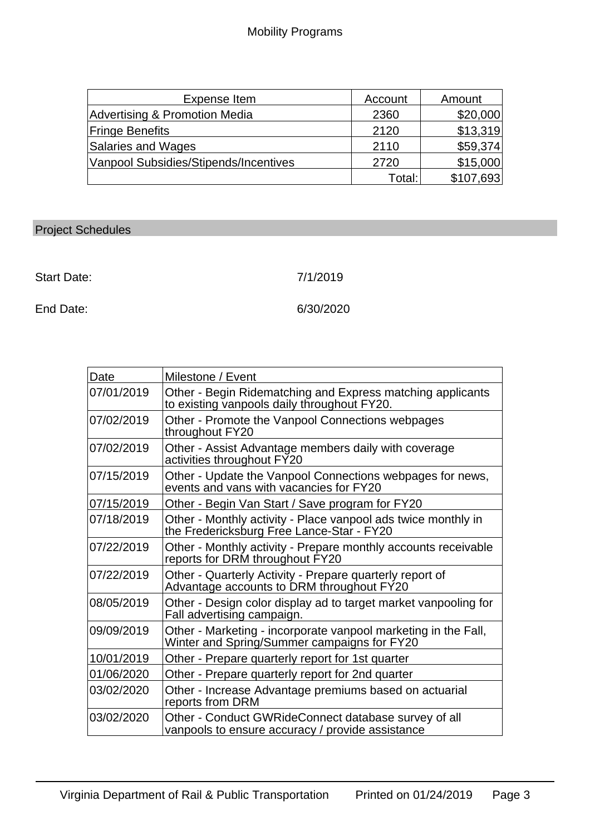| Expense Item                          | Account  | Amount    |
|---------------------------------------|----------|-----------|
| Advertising & Promotion Media         | 2360     | \$20,000  |
| <b>Fringe Benefits</b>                | 2120     | \$13,319  |
| Salaries and Wages                    | 2110     | \$59,374  |
| Vanpool Subsidies/Stipends/Incentives | 2720     | \$15,000  |
|                                       | Total: l | \$107,693 |

## Project Schedules

Start Date: 7/1/2019

End Date: 6/30/2020

| Date       | Milestone / Event                                                                                             |
|------------|---------------------------------------------------------------------------------------------------------------|
| 07/01/2019 | Other - Begin Ridematching and Express matching applicants<br>to existing vanpools daily throughout FY20.     |
| 07/02/2019 | Other - Promote the Vanpool Connections webpages<br>throughout FY20                                           |
| 07/02/2019 | Other - Assist Advantage members daily with coverage<br>activities throughout FY20                            |
| 07/15/2019 | Other - Update the Vanpool Connections webpages for news,<br>events and vans with vacancies for FY20          |
| 07/15/2019 | Other - Begin Van Start / Save program for FY20                                                               |
| 07/18/2019 | Other - Monthly activity - Place vanpool ads twice monthly in<br>the Fredericksburg Free Lance-Star - FY20    |
| 07/22/2019 | Other - Monthly activity - Prepare monthly accounts receivable<br>reports for DRM throughout FY20             |
| 07/22/2019 | Other - Quarterly Activity - Prepare quarterly report of<br>Advantage accounts to DRM throughout FY20         |
| 08/05/2019 | Other - Design color display ad to target market vanpooling for<br>Fall advertising campaign.                 |
| 09/09/2019 | Other - Marketing - incorporate vanpool marketing in the Fall,<br>Winter and Spring/Summer campaigns for FY20 |
| 10/01/2019 | Other - Prepare quarterly report for 1st quarter                                                              |
| 01/06/2020 | Other - Prepare quarterly report for 2nd quarter                                                              |
| 03/02/2020 | Other - Increase Advantage premiums based on actuarial<br>reports from DRM                                    |
| 03/02/2020 | Other - Conduct GWRideConnect database survey of all<br>vanpools to ensure accuracy / provide assistance      |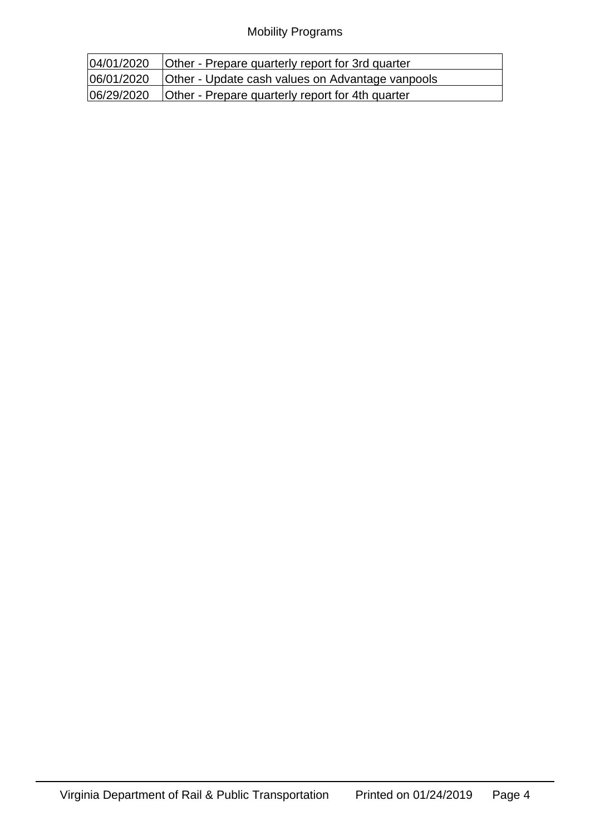| 04/01/2020 | Other - Prepare quarterly report for 3rd quarter                   |
|------------|--------------------------------------------------------------------|
|            | 06/01/2020   Other - Update cash values on Advantage vanpools      |
|            | 06/29/2020 <b>Other - Prepare quarterly report for 4th quarter</b> |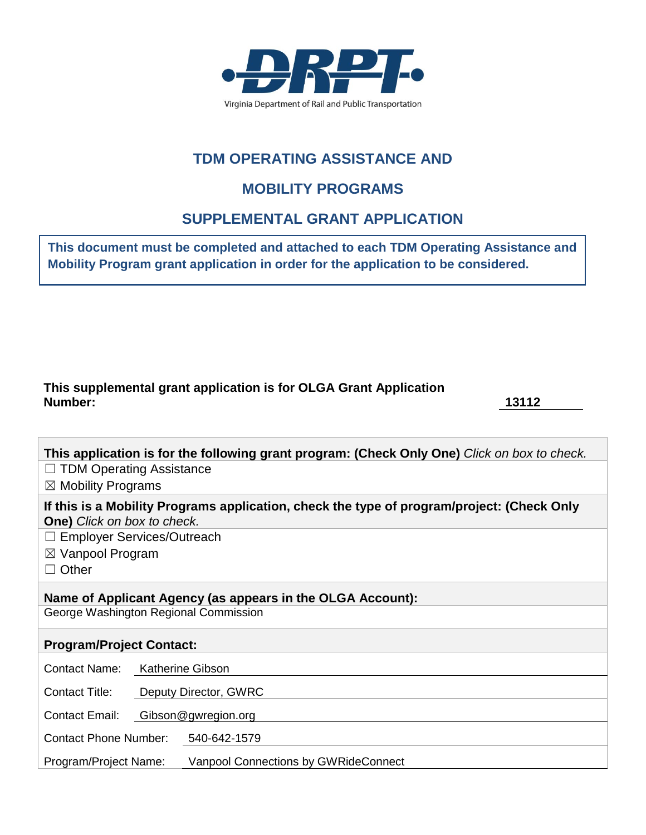

## **TDM OPERATING ASSISTANCE AND**

## **MOBILITY PROGRAMS**

## **SUPPLEMENTAL GRANT APPLICATION**

**This document must be completed and attached to each TDM Operating Assistance and Mobility Program grant application in order for the application to be considered.**

#### **This supplemental grant application is for OLGA Grant Application Number: 13112**

| This application is for the following grant program: (Check Only One) Click on box to check.                                     |  |  |
|----------------------------------------------------------------------------------------------------------------------------------|--|--|
| $\Box$ TDM Operating Assistance                                                                                                  |  |  |
| $\boxtimes$ Mobility Programs                                                                                                    |  |  |
| If this is a Mobility Programs application, check the type of program/project: (Check Only<br><b>One)</b> Click on box to check. |  |  |
| $\Box$ Employer Services/Outreach                                                                                                |  |  |
| $\boxtimes$ Vanpool Program                                                                                                      |  |  |
| $\Box$ Other                                                                                                                     |  |  |
| Name of Applicant Agency (as appears in the OLGA Account):                                                                       |  |  |
|                                                                                                                                  |  |  |
| George Washington Regional Commission                                                                                            |  |  |
| <b>Program/Project Contact:</b>                                                                                                  |  |  |
| <b>Katherine Gibson</b><br>Contact Name:                                                                                         |  |  |
| <b>Contact Title:</b><br>Deputy Director, GWRC                                                                                   |  |  |
| <b>Contact Email:</b><br>Gibson@gwregion.org                                                                                     |  |  |
| Contact Phone Number: 540-642-1579                                                                                               |  |  |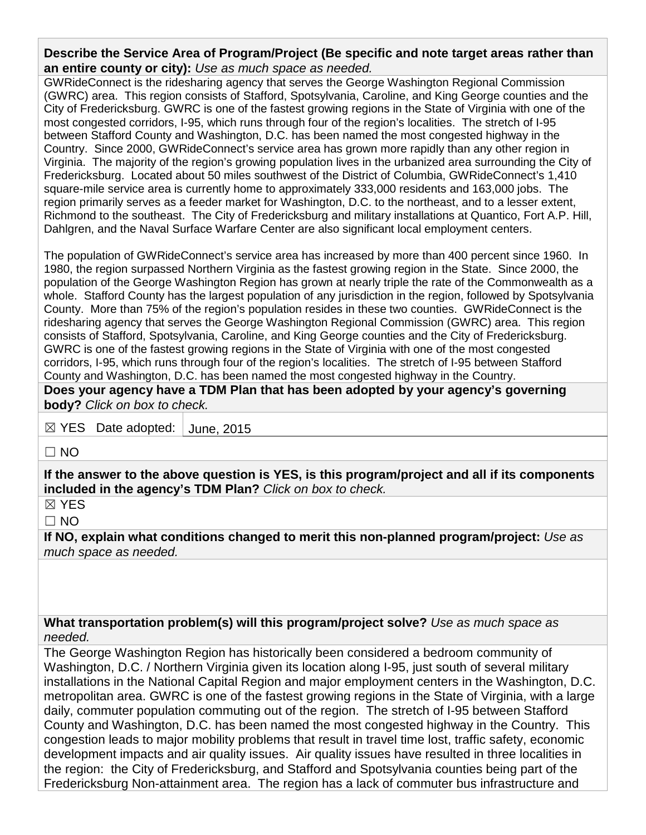**Describe the Service Area of Program/Project (Be specific and note target areas rather than an entire county or city):** *Use as much space as needed.*

GWRideConnect is the ridesharing agency that serves the George Washington Regional Commission (GWRC) area. This region consists of Stafford, Spotsylvania, Caroline, and King George counties and the City of Fredericksburg. GWRC is one of the fastest growing regions in the State of Virginia with one of the most congested corridors, I-95, which runs through four of the region's localities. The stretch of I-95 between Stafford County and Washington, D.C. has been named the most congested highway in the Country. Since 2000, GWRideConnect's service area has grown more rapidly than any other region in Virginia. The majority of the region's growing population lives in the urbanized area surrounding the City of Fredericksburg. Located about 50 miles southwest of the District of Columbia, GWRideConnect's 1,410 square-mile service area is currently home to approximately 333,000 residents and 163,000 jobs. The region primarily serves as a feeder market for Washington, D.C. to the northeast, and to a lesser extent, Richmond to the southeast. The City of Fredericksburg and military installations at Quantico, Fort A.P. Hill, Dahlgren, and the Naval Surface Warfare Center are also significant local employment centers.

The population of GWRideConnect's service area has increased by more than 400 percent since 1960. In 1980, the region surpassed Northern Virginia as the fastest growing region in the State. Since 2000, the population of the George Washington Region has grown at nearly triple the rate of the Commonwealth as a whole. Stafford County has the largest population of any jurisdiction in the region, followed by Spotsylvania County. More than 75% of the region's population resides in these two counties. GWRideConnect is the ridesharing agency that serves the George Washington Regional Commission (GWRC) area. This region consists of Stafford, Spotsylvania, Caroline, and King George counties and the City of Fredericksburg. GWRC is one of the fastest growing regions in the State of Virginia with one of the most congested corridors, I-95, which runs through four of the region's localities. The stretch of I-95 between Stafford County and Washington, D.C. has been named the most congested highway in the Country.

**Does your agency have a TDM Plan that has been adopted by your agency's governing body?** *Click on box to check.*

☒ YES Date adopted: June, 2015

 $\Box$  NO

**If the answer to the above question is YES, is this program/project and all if its components included in the agency's TDM Plan?** *Click on box to check.*

☒ YES

 $\Box$  NO

**If NO, explain what conditions changed to merit this non-planned program/project:** *Use as much space as needed.*

**What transportation problem(s) will this program/project solve?** *Use as much space as needed.*

The George Washington Region has historically been considered a bedroom community of Washington, D.C. / Northern Virginia given its location along I-95, just south of several military installations in the National Capital Region and major employment centers in the Washington, D.C. metropolitan area. GWRC is one of the fastest growing regions in the State of Virginia, with a large daily, commuter population commuting out of the region. The stretch of I-95 between Stafford County and Washington, D.C. has been named the most congested highway in the Country. This congestion leads to major mobility problems that result in travel time lost, traffic safety, economic development impacts and air quality issues. Air quality issues have resulted in three localities in the region: the City of Fredericksburg, and Stafford and Spotsylvania counties being part of the Fredericksburg Non-attainment area. The region has a lack of commuter bus infrastructure and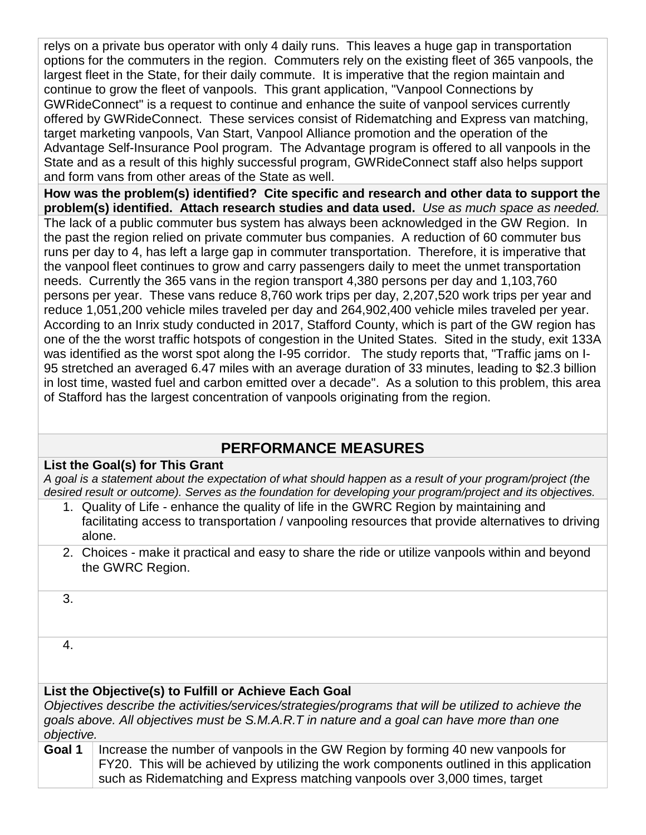relys on a private bus operator with only 4 daily runs. This leaves a huge gap in transportation options for the commuters in the region. Commuters rely on the existing fleet of 365 vanpools, the largest fleet in the State, for their daily commute. It is imperative that the region maintain and continue to grow the fleet of vanpools. This grant application, "Vanpool Connections by GWRideConnect" is a request to continue and enhance the suite of vanpool services currently offered by GWRideConnect. These services consist of Ridematching and Express van matching, target marketing vanpools, Van Start, Vanpool Alliance promotion and the operation of the Advantage Self-Insurance Pool program. The Advantage program is offered to all vanpools in the State and as a result of this highly successful program, GWRideConnect staff also helps support and form vans from other areas of the State as well.

**How was the problem(s) identified? Cite specific and research and other data to support the problem(s) identified. Attach research studies and data used.** *Use as much space as needed.*

The lack of a public commuter bus system has always been acknowledged in the GW Region. In the past the region relied on private commuter bus companies. A reduction of 60 commuter bus runs per day to 4, has left a large gap in commuter transportation. Therefore, it is imperative that the vanpool fleet continues to grow and carry passengers daily to meet the unmet transportation needs. Currently the 365 vans in the region transport 4,380 persons per day and 1,103,760 persons per year. These vans reduce 8,760 work trips per day, 2,207,520 work trips per year and reduce 1,051,200 vehicle miles traveled per day and 264,902,400 vehicle miles traveled per year. According to an Inrix study conducted in 2017, Stafford County, which is part of the GW region has one of the the worst traffic hotspots of congestion in the United States. Sited in the study, exit 133A was identified as the worst spot along the I-95 corridor. The study reports that, "Traffic jams on I-95 stretched an averaged 6.47 miles with an average duration of 33 minutes, leading to \$2.3 billion in lost time, wasted fuel and carbon emitted over a decade". As a solution to this problem, this area of Stafford has the largest concentration of vanpools originating from the region.

## **PERFORMANCE MEASURES**

#### **List the Goal(s) for This Grant**

*A goal is a statement about the expectation of what should happen as a result of your program/project (the desired result or outcome). Serves as the foundation for developing your program/project and its objectives.*

- 1. Quality of Life enhance the quality of life in the GWRC Region by maintaining and facilitating access to transportation / vanpooling resources that provide alternatives to driving alone.
- 2. Choices make it practical and easy to share the ride or utilize vanpools within and beyond the GWRC Region.
- 3.

4.

### **List the Objective(s) to Fulfill or Achieve Each Goal**

*Objectives describe the activities/services/strategies/programs that will be utilized to achieve the goals above. All objectives must be S.M.A.R.T in nature and a goal can have more than one objective.* 

**Goal 1** | Increase the number of vanpools in the GW Region by forming 40 new vanpools for FY20. This will be achieved by utilizing the work components outlined in this application such as Ridematching and Express matching vanpools over 3,000 times, target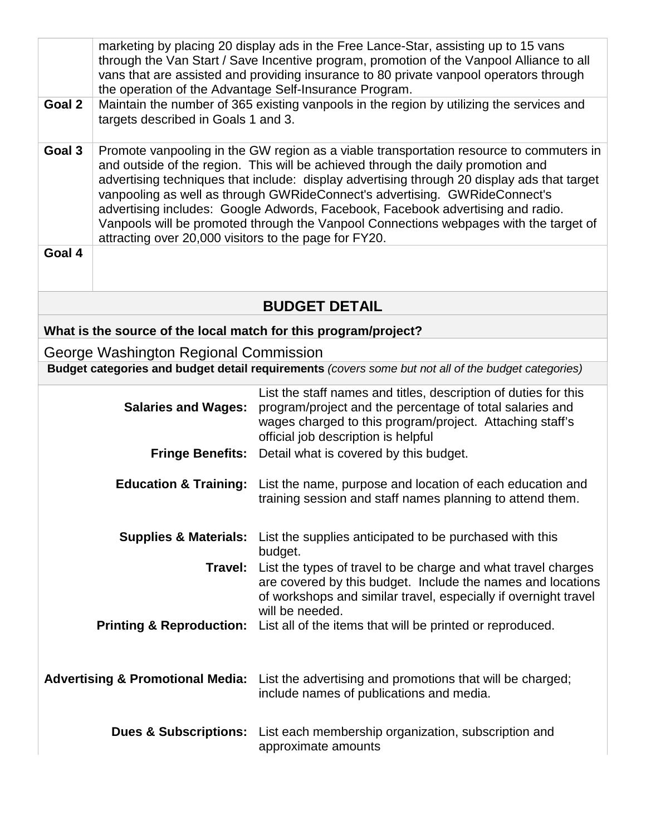|                                                                                                                                                                                                                                                                                                                                                                                                                                                                                                                                                                                                         |                                                                                                                                                  | marketing by placing 20 display ads in the Free Lance-Star, assisting up to 15 vans<br>through the Van Start / Save Incentive program, promotion of the Vanpool Alliance to all                                                |
|---------------------------------------------------------------------------------------------------------------------------------------------------------------------------------------------------------------------------------------------------------------------------------------------------------------------------------------------------------------------------------------------------------------------------------------------------------------------------------------------------------------------------------------------------------------------------------------------------------|--------------------------------------------------------------------------------------------------------------------------------------------------|--------------------------------------------------------------------------------------------------------------------------------------------------------------------------------------------------------------------------------|
|                                                                                                                                                                                                                                                                                                                                                                                                                                                                                                                                                                                                         | vans that are assisted and providing insurance to 80 private vanpool operators through<br>the operation of the Advantage Self-Insurance Program. |                                                                                                                                                                                                                                |
| Goal 2<br>Maintain the number of 365 existing vanpools in the region by utilizing the services and<br>targets described in Goals 1 and 3.                                                                                                                                                                                                                                                                                                                                                                                                                                                               |                                                                                                                                                  |                                                                                                                                                                                                                                |
| Goal 3<br>Promote vanpooling in the GW region as a viable transportation resource to commuters in<br>and outside of the region. This will be achieved through the daily promotion and<br>advertising techniques that include: display advertising through 20 display ads that target<br>vanpooling as well as through GWRideConnect's advertising. GWRideConnect's<br>advertising includes: Google Adwords, Facebook, Facebook advertising and radio.<br>Vanpools will be promoted through the Vanpool Connections webpages with the target of<br>attracting over 20,000 visitors to the page for FY20. |                                                                                                                                                  |                                                                                                                                                                                                                                |
| Goal 4                                                                                                                                                                                                                                                                                                                                                                                                                                                                                                                                                                                                  |                                                                                                                                                  |                                                                                                                                                                                                                                |
|                                                                                                                                                                                                                                                                                                                                                                                                                                                                                                                                                                                                         |                                                                                                                                                  | <b>BUDGET DETAIL</b>                                                                                                                                                                                                           |
|                                                                                                                                                                                                                                                                                                                                                                                                                                                                                                                                                                                                         |                                                                                                                                                  | What is the source of the local match for this program/project?                                                                                                                                                                |
|                                                                                                                                                                                                                                                                                                                                                                                                                                                                                                                                                                                                         | George Washington Regional Commission                                                                                                            |                                                                                                                                                                                                                                |
|                                                                                                                                                                                                                                                                                                                                                                                                                                                                                                                                                                                                         |                                                                                                                                                  | Budget categories and budget detail requirements (covers some but not all of the budget categories)                                                                                                                            |
|                                                                                                                                                                                                                                                                                                                                                                                                                                                                                                                                                                                                         | <b>Salaries and Wages:</b>                                                                                                                       | List the staff names and titles, description of duties for this<br>program/project and the percentage of total salaries and<br>wages charged to this program/project. Attaching staff's<br>official job description is helpful |
|                                                                                                                                                                                                                                                                                                                                                                                                                                                                                                                                                                                                         | <b>Fringe Benefits:</b>                                                                                                                          | Detail what is covered by this budget.                                                                                                                                                                                         |
|                                                                                                                                                                                                                                                                                                                                                                                                                                                                                                                                                                                                         | <b>Education &amp; Training:</b>                                                                                                                 | List the name, purpose and location of each education and<br>training session and staff names planning to attend them.                                                                                                         |
|                                                                                                                                                                                                                                                                                                                                                                                                                                                                                                                                                                                                         |                                                                                                                                                  | <b>Supplies &amp; Materials:</b> List the supplies anticipated to be purchased with this<br>budget.                                                                                                                            |
|                                                                                                                                                                                                                                                                                                                                                                                                                                                                                                                                                                                                         |                                                                                                                                                  | Travel: List the types of travel to be charge and what travel charges<br>are covered by this budget. Include the names and locations<br>of workshops and similar travel, especially if overnight travel                        |
|                                                                                                                                                                                                                                                                                                                                                                                                                                                                                                                                                                                                         |                                                                                                                                                  | will be needed.<br><b>Printing &amp; Reproduction:</b> List all of the items that will be printed or reproduced.                                                                                                               |
|                                                                                                                                                                                                                                                                                                                                                                                                                                                                                                                                                                                                         |                                                                                                                                                  | Advertising & Promotional Media: List the advertising and promotions that will be charged;<br>include names of publications and media.                                                                                         |
|                                                                                                                                                                                                                                                                                                                                                                                                                                                                                                                                                                                                         | <b>Dues &amp; Subscriptions:</b>                                                                                                                 | List each membership organization, subscription and<br>approximate amounts                                                                                                                                                     |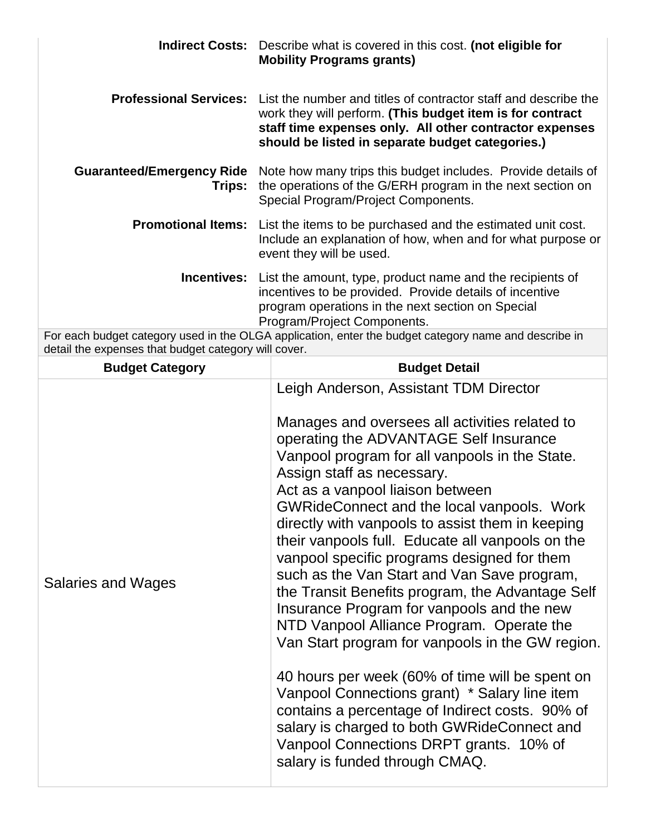|                                                      | <b>Indirect Costs:</b> Describe what is covered in this cost. (not eligible for<br><b>Mobility Programs grants)</b>                                                                                                                                                                                                                                                                                                                                                                                                                                                                                                                                                                                                                                                                                                                                                                                                                                                                              |
|------------------------------------------------------|--------------------------------------------------------------------------------------------------------------------------------------------------------------------------------------------------------------------------------------------------------------------------------------------------------------------------------------------------------------------------------------------------------------------------------------------------------------------------------------------------------------------------------------------------------------------------------------------------------------------------------------------------------------------------------------------------------------------------------------------------------------------------------------------------------------------------------------------------------------------------------------------------------------------------------------------------------------------------------------------------|
| <b>Professional Services:</b>                        | List the number and titles of contractor staff and describe the<br>work they will perform. (This budget item is for contract<br>staff time expenses only. All other contractor expenses<br>should be listed in separate budget categories.)                                                                                                                                                                                                                                                                                                                                                                                                                                                                                                                                                                                                                                                                                                                                                      |
| <b>Guaranteed/Emergency Ride</b><br>Trips:           | Note how many trips this budget includes. Provide details of<br>the operations of the G/ERH program in the next section on<br>Special Program/Project Components.                                                                                                                                                                                                                                                                                                                                                                                                                                                                                                                                                                                                                                                                                                                                                                                                                                |
| <b>Promotional Items:</b>                            | List the items to be purchased and the estimated unit cost.<br>Include an explanation of how, when and for what purpose or<br>event they will be used.                                                                                                                                                                                                                                                                                                                                                                                                                                                                                                                                                                                                                                                                                                                                                                                                                                           |
| <b>Incentives:</b>                                   | List the amount, type, product name and the recipients of<br>incentives to be provided. Provide details of incentive<br>program operations in the next section on Special<br>Program/Project Components.                                                                                                                                                                                                                                                                                                                                                                                                                                                                                                                                                                                                                                                                                                                                                                                         |
| detail the expenses that budget category will cover. | For each budget category used in the OLGA application, enter the budget category name and describe in                                                                                                                                                                                                                                                                                                                                                                                                                                                                                                                                                                                                                                                                                                                                                                                                                                                                                            |
| <b>Budget Category</b>                               | <b>Budget Detail</b>                                                                                                                                                                                                                                                                                                                                                                                                                                                                                                                                                                                                                                                                                                                                                                                                                                                                                                                                                                             |
| Salaries and Wages                                   | Leigh Anderson, Assistant TDM Director<br>Manages and oversees all activities related to<br>operating the ADVANTAGE Self Insurance<br>Vanpool program for all vanpools in the State.<br>Assign staff as necessary.<br>Act as a vanpool liaison between<br>GWRideConnect and the local vanpools. Work<br>directly with vanpools to assist them in keeping<br>their vanpools full. Educate all vanpools on the<br>vanpool specific programs designed for them<br>such as the Van Start and Van Save program,<br>the Transit Benefits program, the Advantage Self<br>Insurance Program for vanpools and the new<br>NTD Vanpool Alliance Program. Operate the<br>Van Start program for vanpools in the GW region.<br>40 hours per week (60% of time will be spent on<br>Vanpool Connections grant) * Salary line item<br>contains a percentage of Indirect costs. 90% of<br>salary is charged to both GWRideConnect and<br>Vanpool Connections DRPT grants. 10% of<br>salary is funded through CMAQ. |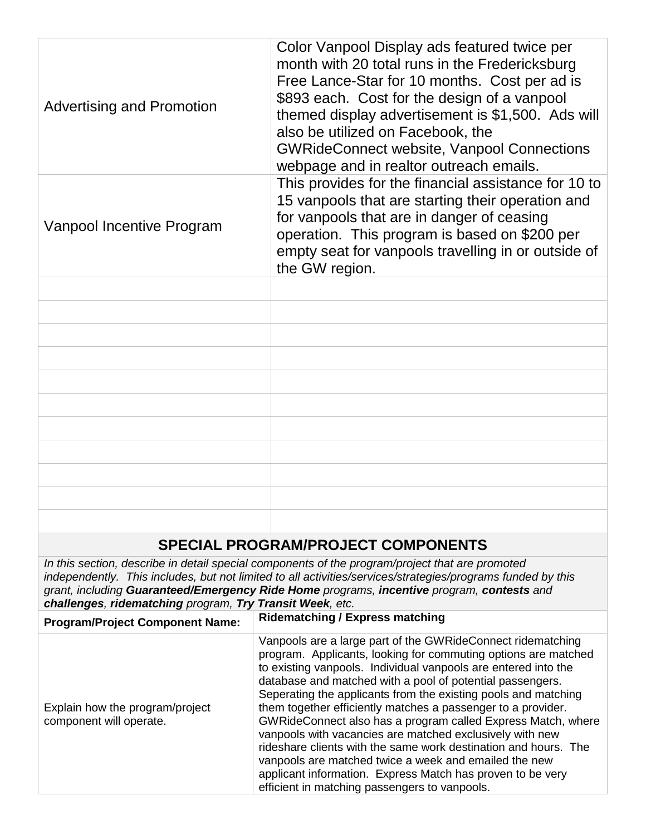| <b>Advertising and Promotion</b> | Color Vanpool Display ads featured twice per<br>month with 20 total runs in the Fredericksburg<br>Free Lance-Star for 10 months. Cost per ad is<br>\$893 each. Cost for the design of a vanpool<br>themed display advertisement is \$1,500. Ads will<br>also be utilized on Facebook, the<br><b>GWRideConnect website, Vanpool Connections</b><br>webpage and in realtor outreach emails. |
|----------------------------------|-------------------------------------------------------------------------------------------------------------------------------------------------------------------------------------------------------------------------------------------------------------------------------------------------------------------------------------------------------------------------------------------|
| Vanpool Incentive Program        | This provides for the financial assistance for 10 to<br>15 vanpools that are starting their operation and<br>for vanpools that are in danger of ceasing<br>operation. This program is based on \$200 per<br>empty seat for vanpools travelling in or outside of<br>the GW region.                                                                                                         |
|                                  |                                                                                                                                                                                                                                                                                                                                                                                           |
|                                  |                                                                                                                                                                                                                                                                                                                                                                                           |
|                                  |                                                                                                                                                                                                                                                                                                                                                                                           |
|                                  |                                                                                                                                                                                                                                                                                                                                                                                           |
|                                  |                                                                                                                                                                                                                                                                                                                                                                                           |
|                                  |                                                                                                                                                                                                                                                                                                                                                                                           |
|                                  |                                                                                                                                                                                                                                                                                                                                                                                           |
|                                  |                                                                                                                                                                                                                                                                                                                                                                                           |
|                                  |                                                                                                                                                                                                                                                                                                                                                                                           |
|                                  |                                                                                                                                                                                                                                                                                                                                                                                           |
|                                  |                                                                                                                                                                                                                                                                                                                                                                                           |

## **SPECIAL PROGRAM/PROJECT COMPONENTS**

In this section, describe in detail special components of the program/project that are promoted *independently. This includes, but not limited to all activities/services/strategies/programs funded by this grant, including Guaranteed/Emergency Ride Home programs, incentive program, contests and challenges, ridematching program, Try Transit Week, etc.* 

| <b>Program/Project Component Name:</b>                     | <b>Ridematching / Express matching</b>                                                                                                                                                                                                                                                                                                                                                                                                                                                                                                                                                                                                                                                                                                                                |
|------------------------------------------------------------|-----------------------------------------------------------------------------------------------------------------------------------------------------------------------------------------------------------------------------------------------------------------------------------------------------------------------------------------------------------------------------------------------------------------------------------------------------------------------------------------------------------------------------------------------------------------------------------------------------------------------------------------------------------------------------------------------------------------------------------------------------------------------|
| Explain how the program/project<br>component will operate. | Vanpools are a large part of the GWRideConnect ridematching<br>program. Applicants, looking for commuting options are matched<br>to existing vanpools. Individual vanpools are entered into the<br>database and matched with a pool of potential passengers.<br>Seperating the applicants from the existing pools and matching<br>them together efficiently matches a passenger to a provider.<br>GWRideConnect also has a program called Express Match, where<br>vanpools with vacancies are matched exclusively with new<br>rideshare clients with the same work destination and hours. The<br>vanpools are matched twice a week and emailed the new<br>applicant information. Express Match has proven to be very<br>efficient in matching passengers to vanpools. |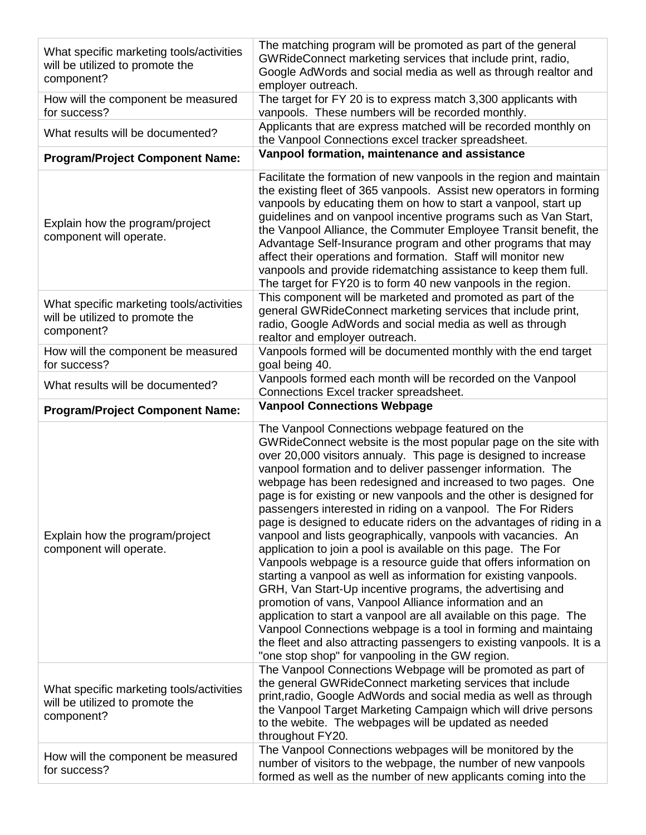| What specific marketing tools/activities<br>will be utilized to promote the<br>component? | The matching program will be promoted as part of the general<br>GWRideConnect marketing services that include print, radio,<br>Google AdWords and social media as well as through realtor and<br>employer outreach.                                                                                                                                                                                                                                                                                                                                                                                                                                                                                                                                                                                                                                                                                                                                                                                                                                                                                                                                                                                    |
|-------------------------------------------------------------------------------------------|--------------------------------------------------------------------------------------------------------------------------------------------------------------------------------------------------------------------------------------------------------------------------------------------------------------------------------------------------------------------------------------------------------------------------------------------------------------------------------------------------------------------------------------------------------------------------------------------------------------------------------------------------------------------------------------------------------------------------------------------------------------------------------------------------------------------------------------------------------------------------------------------------------------------------------------------------------------------------------------------------------------------------------------------------------------------------------------------------------------------------------------------------------------------------------------------------------|
| How will the component be measured<br>for success?                                        | The target for FY 20 is to express match 3,300 applicants with<br>vanpools. These numbers will be recorded monthly.                                                                                                                                                                                                                                                                                                                                                                                                                                                                                                                                                                                                                                                                                                                                                                                                                                                                                                                                                                                                                                                                                    |
| What results will be documented?                                                          | Applicants that are express matched will be recorded monthly on<br>the Vanpool Connections excel tracker spreadsheet.                                                                                                                                                                                                                                                                                                                                                                                                                                                                                                                                                                                                                                                                                                                                                                                                                                                                                                                                                                                                                                                                                  |
| <b>Program/Project Component Name:</b>                                                    | Vanpool formation, maintenance and assistance                                                                                                                                                                                                                                                                                                                                                                                                                                                                                                                                                                                                                                                                                                                                                                                                                                                                                                                                                                                                                                                                                                                                                          |
| Explain how the program/project<br>component will operate.                                | Facilitate the formation of new vanpools in the region and maintain<br>the existing fleet of 365 vanpools. Assist new operators in forming<br>vanpools by educating them on how to start a vanpool, start up<br>guidelines and on vanpool incentive programs such as Van Start,<br>the Vanpool Alliance, the Commuter Employee Transit benefit, the<br>Advantage Self-Insurance program and other programs that may<br>affect their operations and formation. Staff will monitor new<br>vanpools and provide ridematching assistance to keep them full.<br>The target for FY20 is to form 40 new vanpools in the region.                                                                                                                                                                                                                                                                                                                                                                                                                                                                                                                                                                               |
| What specific marketing tools/activities<br>will be utilized to promote the<br>component? | This component will be marketed and promoted as part of the<br>general GWRideConnect marketing services that include print,<br>radio, Google AdWords and social media as well as through<br>realtor and employer outreach.                                                                                                                                                                                                                                                                                                                                                                                                                                                                                                                                                                                                                                                                                                                                                                                                                                                                                                                                                                             |
| How will the component be measured<br>for success?                                        | Vanpools formed will be documented monthly with the end target<br>goal being 40.                                                                                                                                                                                                                                                                                                                                                                                                                                                                                                                                                                                                                                                                                                                                                                                                                                                                                                                                                                                                                                                                                                                       |
| What results will be documented?                                                          | Vanpools formed each month will be recorded on the Vanpool<br>Connections Excel tracker spreadsheet.                                                                                                                                                                                                                                                                                                                                                                                                                                                                                                                                                                                                                                                                                                                                                                                                                                                                                                                                                                                                                                                                                                   |
| <b>Program/Project Component Name:</b>                                                    | <b>Vanpool Connections Webpage</b>                                                                                                                                                                                                                                                                                                                                                                                                                                                                                                                                                                                                                                                                                                                                                                                                                                                                                                                                                                                                                                                                                                                                                                     |
| Explain how the program/project<br>component will operate.                                | The Vanpool Connections webpage featured on the<br>GWRideConnect website is the most popular page on the site with<br>over 20,000 visitors annualy. This page is designed to increase<br>vanpool formation and to deliver passenger information. The<br>webpage has been redesigned and increased to two pages. One<br>page is for existing or new vanpools and the other is designed for<br>passengers interested in riding on a vanpool. The For Riders<br>page is designed to educate riders on the advantages of riding in a<br>vanpool and lists geographically, vanpools with vacancies. An<br>application to join a pool is available on this page. The For<br>Vanpools webpage is a resource guide that offers information on<br>starting a vanpool as well as information for existing vanpools.<br>GRH, Van Start-Up incentive programs, the advertising and<br>promotion of vans, Vanpool Alliance information and an<br>application to start a vanpool are all available on this page. The<br>Vanpool Connections webpage is a tool in forming and maintaing<br>the fleet and also attracting passengers to existing vanpools. It is a<br>"one stop shop" for vanpooling in the GW region. |
| What specific marketing tools/activities<br>will be utilized to promote the<br>component? | The Vanpool Connections Webpage will be promoted as part of<br>the general GWRideConnect marketing services that include<br>print, radio, Google AdWords and social media as well as through<br>the Vanpool Target Marketing Campaign which will drive persons<br>to the webite. The webpages will be updated as needed<br>throughout FY20.                                                                                                                                                                                                                                                                                                                                                                                                                                                                                                                                                                                                                                                                                                                                                                                                                                                            |
| How will the component be measured<br>for success?                                        | The Vanpool Connections webpages will be monitored by the<br>number of visitors to the webpage, the number of new vanpools<br>formed as well as the number of new applicants coming into the                                                                                                                                                                                                                                                                                                                                                                                                                                                                                                                                                                                                                                                                                                                                                                                                                                                                                                                                                                                                           |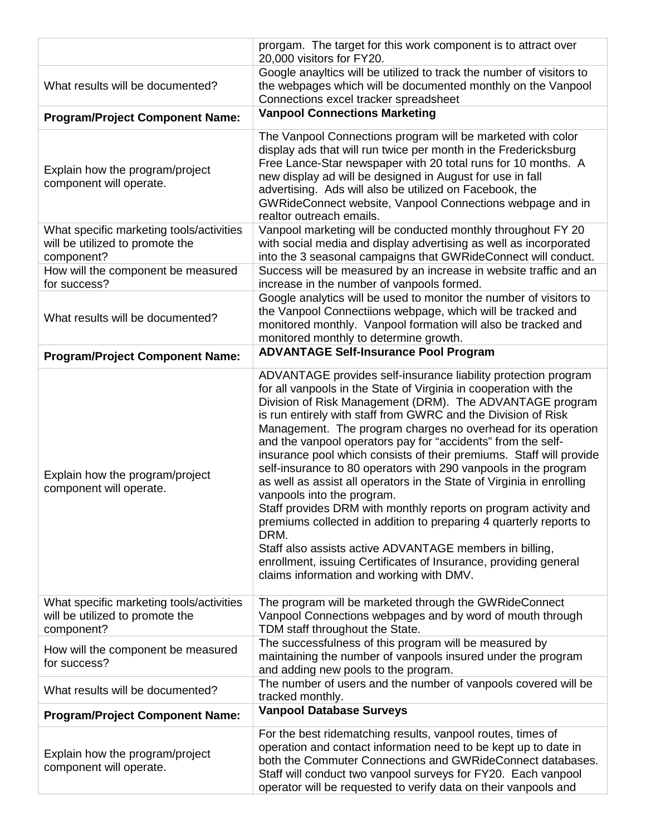|                                                                                           | prorgam. The target for this work component is to attract over<br>20,000 visitors for FY20.                                                                                                                                                                                                                                                                                                                                                                                                                                                                                                                                                                                                                                                                                                                                                                                                                                                                                    |
|-------------------------------------------------------------------------------------------|--------------------------------------------------------------------------------------------------------------------------------------------------------------------------------------------------------------------------------------------------------------------------------------------------------------------------------------------------------------------------------------------------------------------------------------------------------------------------------------------------------------------------------------------------------------------------------------------------------------------------------------------------------------------------------------------------------------------------------------------------------------------------------------------------------------------------------------------------------------------------------------------------------------------------------------------------------------------------------|
| What results will be documented?                                                          | Google anayltics will be utilized to track the number of visitors to<br>the webpages which will be documented monthly on the Vanpool<br>Connections excel tracker spreadsheet                                                                                                                                                                                                                                                                                                                                                                                                                                                                                                                                                                                                                                                                                                                                                                                                  |
| <b>Program/Project Component Name:</b>                                                    | <b>Vanpool Connections Marketing</b>                                                                                                                                                                                                                                                                                                                                                                                                                                                                                                                                                                                                                                                                                                                                                                                                                                                                                                                                           |
| Explain how the program/project<br>component will operate.                                | The Vanpool Connections program will be marketed with color<br>display ads that will run twice per month in the Fredericksburg<br>Free Lance-Star newspaper with 20 total runs for 10 months. A<br>new display ad will be designed in August for use in fall<br>advertising. Ads will also be utilized on Facebook, the<br>GWRideConnect website, Vanpool Connections webpage and in<br>realtor outreach emails.                                                                                                                                                                                                                                                                                                                                                                                                                                                                                                                                                               |
| What specific marketing tools/activities<br>will be utilized to promote the<br>component? | Vanpool marketing will be conducted monthly throughout FY 20<br>with social media and display advertising as well as incorporated<br>into the 3 seasonal campaigns that GWRideConnect will conduct.                                                                                                                                                                                                                                                                                                                                                                                                                                                                                                                                                                                                                                                                                                                                                                            |
| How will the component be measured<br>for success?                                        | Success will be measured by an increase in website traffic and an<br>increase in the number of vanpools formed.                                                                                                                                                                                                                                                                                                                                                                                                                                                                                                                                                                                                                                                                                                                                                                                                                                                                |
| What results will be documented?                                                          | Google analytics will be used to monitor the number of visitors to<br>the Vanpool Connectiions webpage, which will be tracked and<br>monitored monthly. Vanpool formation will also be tracked and<br>monitored monthly to determine growth.                                                                                                                                                                                                                                                                                                                                                                                                                                                                                                                                                                                                                                                                                                                                   |
| <b>Program/Project Component Name:</b>                                                    | <b>ADVANTAGE Self-Insurance Pool Program</b>                                                                                                                                                                                                                                                                                                                                                                                                                                                                                                                                                                                                                                                                                                                                                                                                                                                                                                                                   |
| Explain how the program/project<br>component will operate.                                | ADVANTAGE provides self-insurance liability protection program<br>for all vanpools in the State of Virginia in cooperation with the<br>Division of Risk Management (DRM). The ADVANTAGE program<br>is run entirely with staff from GWRC and the Division of Risk<br>Management. The program charges no overhead for its operation<br>and the vanpool operators pay for "accidents" from the self-<br>insurance pool which consists of their premiums. Staff will provide<br>self-insurance to 80 operators with 290 vanpools in the program<br>as well as assist all operators in the State of Virginia in enrolling<br>vanpools into the program.<br>Staff provides DRM with monthly reports on program activity and<br>premiums collected in addition to preparing 4 quarterly reports to<br>DRM.<br>Staff also assists active ADVANTAGE members in billing,<br>enrollment, issuing Certificates of Insurance, providing general<br>claims information and working with DMV. |
| What specific marketing tools/activities<br>will be utilized to promote the<br>component? | The program will be marketed through the GWRideConnect<br>Vanpool Connections webpages and by word of mouth through<br>TDM staff throughout the State.                                                                                                                                                                                                                                                                                                                                                                                                                                                                                                                                                                                                                                                                                                                                                                                                                         |
| How will the component be measured<br>for success?                                        | The successfulness of this program will be measured by<br>maintaining the number of vanpools insured under the program<br>and adding new pools to the program.                                                                                                                                                                                                                                                                                                                                                                                                                                                                                                                                                                                                                                                                                                                                                                                                                 |
| What results will be documented?                                                          | The number of users and the number of vanpools covered will be<br>tracked monthly.                                                                                                                                                                                                                                                                                                                                                                                                                                                                                                                                                                                                                                                                                                                                                                                                                                                                                             |
| <b>Program/Project Component Name:</b>                                                    | <b>Vanpool Database Surveys</b>                                                                                                                                                                                                                                                                                                                                                                                                                                                                                                                                                                                                                                                                                                                                                                                                                                                                                                                                                |
| Explain how the program/project<br>component will operate.                                | For the best ridematching results, vanpool routes, times of<br>operation and contact information need to be kept up to date in<br>both the Commuter Connections and GWRideConnect databases.<br>Staff will conduct two vanpool surveys for FY20. Each vanpool<br>operator will be requested to verify data on their vanpools and                                                                                                                                                                                                                                                                                                                                                                                                                                                                                                                                                                                                                                               |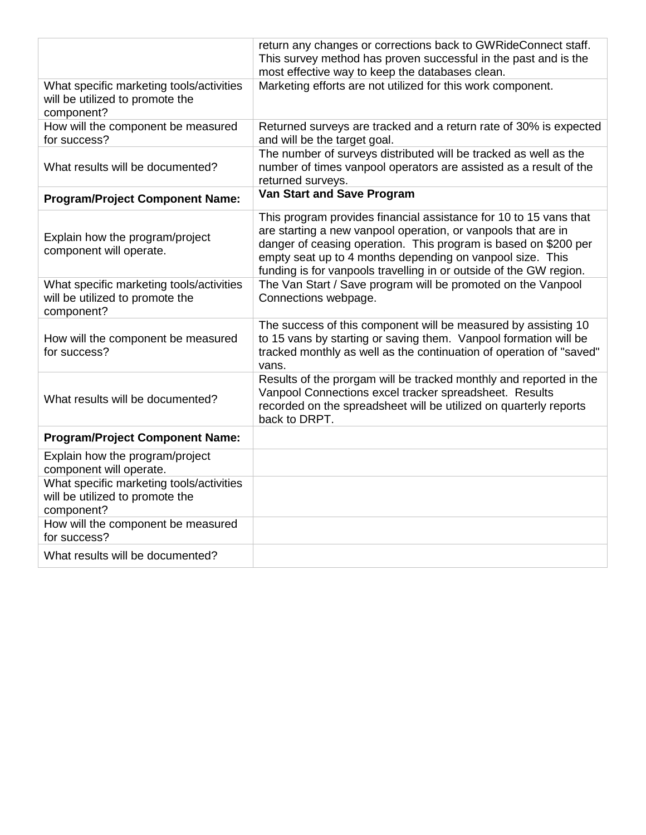|                                                                                           | return any changes or corrections back to GWRideConnect staff.                                                                                                                                                                                                                                                                           |
|-------------------------------------------------------------------------------------------|------------------------------------------------------------------------------------------------------------------------------------------------------------------------------------------------------------------------------------------------------------------------------------------------------------------------------------------|
|                                                                                           | This survey method has proven successful in the past and is the                                                                                                                                                                                                                                                                          |
|                                                                                           | most effective way to keep the databases clean.                                                                                                                                                                                                                                                                                          |
| What specific marketing tools/activities<br>will be utilized to promote the<br>component? | Marketing efforts are not utilized for this work component.                                                                                                                                                                                                                                                                              |
| How will the component be measured                                                        | Returned surveys are tracked and a return rate of 30% is expected                                                                                                                                                                                                                                                                        |
| for success?                                                                              | and will be the target goal.                                                                                                                                                                                                                                                                                                             |
|                                                                                           | The number of surveys distributed will be tracked as well as the                                                                                                                                                                                                                                                                         |
| What results will be documented?                                                          | number of times vanpool operators are assisted as a result of the                                                                                                                                                                                                                                                                        |
|                                                                                           | returned surveys.                                                                                                                                                                                                                                                                                                                        |
| <b>Program/Project Component Name:</b>                                                    | Van Start and Save Program                                                                                                                                                                                                                                                                                                               |
| Explain how the program/project<br>component will operate.                                | This program provides financial assistance for 10 to 15 vans that<br>are starting a new vanpool operation, or vanpools that are in<br>danger of ceasing operation. This program is based on \$200 per<br>empty seat up to 4 months depending on vanpool size. This<br>funding is for vanpools travelling in or outside of the GW region. |
| What specific marketing tools/activities<br>will be utilized to promote the<br>component? | The Van Start / Save program will be promoted on the Vanpool<br>Connections webpage.                                                                                                                                                                                                                                                     |
| How will the component be measured<br>for success?                                        | The success of this component will be measured by assisting 10<br>to 15 vans by starting or saving them. Vanpool formation will be<br>tracked monthly as well as the continuation of operation of "saved"<br>vans.                                                                                                                       |
| What results will be documented?                                                          | Results of the prorgam will be tracked monthly and reported in the<br>Vanpool Connections excel tracker spreadsheet. Results<br>recorded on the spreadsheet will be utilized on quarterly reports<br>back to DRPT.                                                                                                                       |
| <b>Program/Project Component Name:</b>                                                    |                                                                                                                                                                                                                                                                                                                                          |
| Explain how the program/project<br>component will operate.                                |                                                                                                                                                                                                                                                                                                                                          |
| What specific marketing tools/activities<br>will be utilized to promote the<br>component? |                                                                                                                                                                                                                                                                                                                                          |
| How will the component be measured<br>for success?                                        |                                                                                                                                                                                                                                                                                                                                          |
| What results will be documented?                                                          |                                                                                                                                                                                                                                                                                                                                          |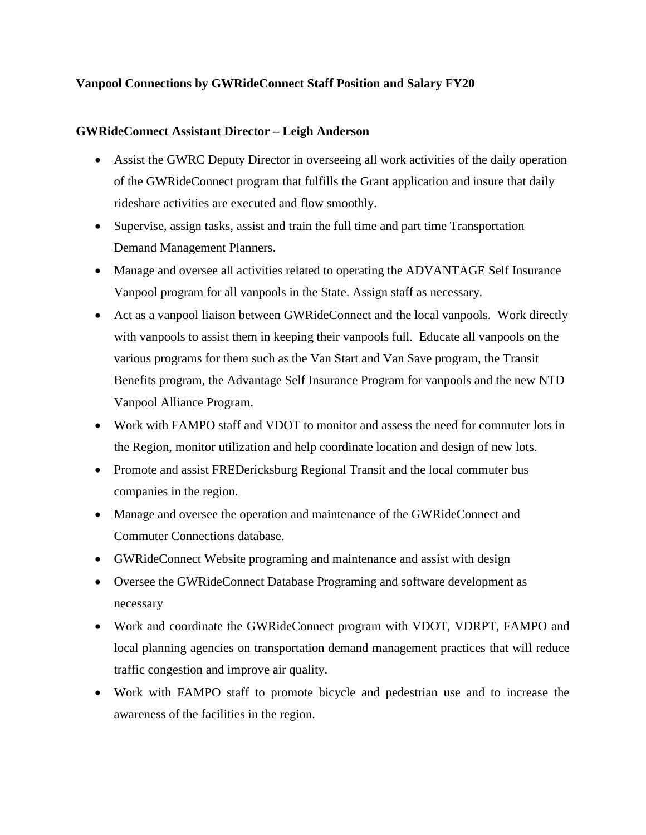#### **Vanpool Connections by GWRideConnect Staff Position and Salary FY20**

#### **GWRideConnect Assistant Director – Leigh Anderson**

- Assist the GWRC Deputy Director in overseeing all work activities of the daily operation of the GWRideConnect program that fulfills the Grant application and insure that daily rideshare activities are executed and flow smoothly.
- Supervise, assign tasks, assist and train the full time and part time Transportation Demand Management Planners.
- Manage and oversee all activities related to operating the ADVANTAGE Self Insurance Vanpool program for all vanpools in the State. Assign staff as necessary.
- Act as a vanpool liaison between GWRideConnect and the local vanpools. Work directly with vanpools to assist them in keeping their vanpools full. Educate all vanpools on the various programs for them such as the Van Start and Van Save program, the Transit Benefits program, the Advantage Self Insurance Program for vanpools and the new NTD Vanpool Alliance Program.
- Work with FAMPO staff and VDOT to monitor and assess the need for commuter lots in the Region, monitor utilization and help coordinate location and design of new lots.
- Promote and assist FREDericksburg Regional Transit and the local commuter bus companies in the region.
- Manage and oversee the operation and maintenance of the GWRideConnect and Commuter Connections database.
- GWRideConnect Website programing and maintenance and assist with design
- Oversee the GWRideConnect Database Programing and software development as necessary
- Work and coordinate the GWRideConnect program with VDOT, VDRPT, FAMPO and local planning agencies on transportation demand management practices that will reduce traffic congestion and improve air quality.
- Work with FAMPO staff to promote bicycle and pedestrian use and to increase the awareness of the facilities in the region.